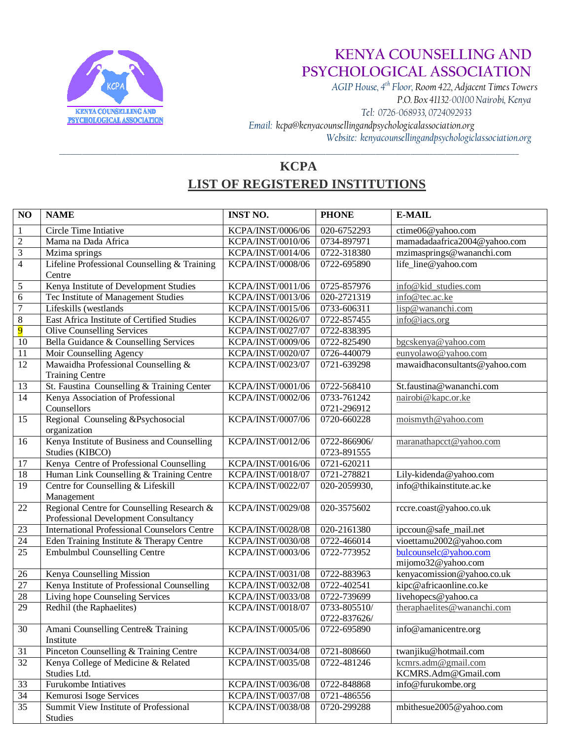

 *AGIP House, 4th Floor, Room 422, Adjacent Times Towers P.O. Box 41132-00100 Nairobi, Kenya Tel: 0726-068933, 0724092933 Email: kcpa@kenyacounsellingandpsychologicalassociation.org Website: kenyacounsellingandpsychologiclassociation.org* \_\_\_\_\_\_\_\_\_\_\_\_\_\_\_\_\_\_\_\_\_\_\_\_\_\_\_\_\_\_\_\_\_\_\_\_\_\_\_\_\_\_\_\_\_\_\_\_\_\_\_\_\_\_\_\_\_\_\_\_\_\_\_\_\_\_\_\_\_\_\_\_\_\_\_\_\_\_\_\_\_\_\_\_\_\_\_\_\_\_\_\_\_\_\_\_\_\_\_\_\_\_\_\_\_\_\_\_\_\_\_\_\_\_\_\_\_\_\_

#### **KCPA LIST OF REGISTERED INSTITUTIONS**

| $\overline{NO}$         | <b>NAME</b>                                                   | <b>INST NO.</b>   | <b>PHONE</b>               | <b>E-MAIL</b>                 |
|-------------------------|---------------------------------------------------------------|-------------------|----------------------------|-------------------------------|
| $\mathbf{1}$            | Circle Time Intiative                                         | KCPA/INST/0006/06 | 020-6752293                | ctime06@yahoo.com             |
| $\sqrt{2}$              | Mama na Dada Africa                                           | KCPA/INST/0010/06 | 0734-897971                | mamadadaafrica2004@yahoo.com  |
| $\overline{\mathbf{3}}$ | Mzima springs                                                 | KCPA/INST/0014/06 | 0722-318380                | mzimasprings@wananchi.com     |
| $\overline{4}$          | Lifeline Professional Counselling & Training                  | KCPA/INST/0008/06 | 0722-695890                | life_line@yahoo.com           |
|                         | Centre                                                        |                   |                            |                               |
| $\sqrt{5}$              | Kenya Institute of Development Studies                        | KCPA/INST/0011/06 | 0725-857976                | info@kid_studies.com          |
| $\overline{6}$          | Tec Institute of Management Studies                           | KCPA/INST/0013/06 | 020-2721319                | info@tec.ac.ke                |
| $\overline{7}$          | Lifeskills (westlands                                         | KCPA/INST/0015/06 | 0733-606311                | lisp@wananchi.com             |
| $\overline{8}$          | East Africa Institute of Certified Studies                    | KCPA/INST/0026/07 | 0722-857455                | info@iacs.org                 |
| $\overline{9}$          | <b>Olive Counselling Services</b>                             | KCPA/INST/0027/07 | 0722-838395                |                               |
| 10                      | Bella Guidance & Counselling Services                         | KCPA/INST/0009/06 | 0722-825490                | bgcskenya@yahoo.com           |
| 11                      | Moir Counselling Agency                                       | KCPA/INST/0020/07 | 0726-440079                | eunyolawo@yahoo.com           |
| 12                      | Mawaidha Professional Counselling &<br><b>Training Centre</b> | KCPA/INST/0023/07 | 0721-639298                | mawaidhaconsultants@yahoo.com |
| 13                      | St. Faustina Counselling & Training Center                    | KCPA/INST/0001/06 | 0722-568410                | St.faustina@wananchi.com      |
| 14                      | Kenya Association of Professional                             | KCPA/INST/0002/06 | 0733-761242                | nairobi@kapc.or.ke            |
|                         | Counsellors                                                   |                   | 0721-296912                |                               |
| 15                      | Regional Counseling &Psychosocial<br>organization             | KCPA/INST/0007/06 | 0720-660228                | moismyth@yahoo.com            |
| 16                      | Kenya Institute of Business and Counselling                   | KCPA/INST/0012/06 | 0722-866906/               | maranathapcct@yahoo.com       |
| 17                      | Studies (KIBCO)<br>Kenya Centre of Professional Counselling   | KCPA/INST/0016/06 | 0723-891555<br>0721-620211 |                               |
| $\overline{18}$         | Human Link Counselling & Training Centre                      | KCPA/INST/0018/07 | 0721-278821                | Lily-kidenda@yahoo.com        |
| $\overline{19}$         | Centre for Counselling & Lifeskill                            | KCPA/INST/0022/07 | 020-2059930,               | info@thikainstitute.ac.ke     |
|                         | Management                                                    |                   |                            |                               |
| $\overline{22}$         | Regional Centre for Counselling Research &                    | KCPA/INST/0029/08 | 020-3575602                | rccre.coast@yahoo.co.uk       |
|                         | Professional Development Consultancy                          |                   |                            |                               |
| 23                      | <b>International Professional Counselors Centre</b>           | KCPA/INST/0028/08 | 020-2161380                | ipccoun@safe_mail.net         |
| 24                      | Eden Training Institute & Therapy Centre                      | KCPA/INST/0030/08 | 0722-466014                | vioettamu2002@yahoo.com       |
| 25                      | <b>Embulmbul Counselling Centre</b>                           | KCPA/INST/0003/06 | 0722-773952                | bulcounselc@yahoo.com         |
|                         |                                                               |                   |                            | mijomo32@yahoo.com            |
| 26                      | Kenya Counselling Mission                                     | KCPA/INST/0031/08 | 0722-883963                | kenyacomission@yahoo.co.uk    |
| $\overline{27}$         | Kenya Institute of Professional Counselling                   | KCPA/INST/0032/08 | 0722-402541                | kipc@africaonline.co.ke       |
| 28                      | Living hope Counseling Services                               | KCPA/INST/0033/08 | 0722-739699                | livehopecs@yahoo.ca           |
| 29                      | Redhil (the Raphaelites)                                      | KCPA/INST/0018/07 | 0733-805510/               | theraphaelites@wananchi.com   |
|                         |                                                               |                   | 0722-837626/               |                               |
| 30                      | Amani Counselling Centre& Training<br>Institute               | KCPA/INST/0005/06 | 0722-695890                | info@amanicentre.org          |
| 31                      | Pinceton Counselling & Training Centre                        | KCPA/INST/0034/08 | 0721-808660                | twanjiku@hotmail.com          |
| 32                      | Kenya College of Medicine & Related                           | KCPA/INST/0035/08 | 0722-481246                | kcmrs.adm@gmail.com           |
|                         | Studies Ltd.                                                  |                   |                            | KCMRS.Adm@Gmail.com           |
| 33                      | Furukombe Intiatives                                          | KCPA/INST/0036/08 | 0722-848868                | info@furukombe.org            |
| 34                      | Kemurosi Isoge Services                                       | KCPA/INST/0037/08 | 0721-486556                |                               |
| 35                      | Summit View Institute of Professional<br>Studies              | KCPA/INST/0038/08 | 0720-299288                | mbithesue2005@yahoo.com       |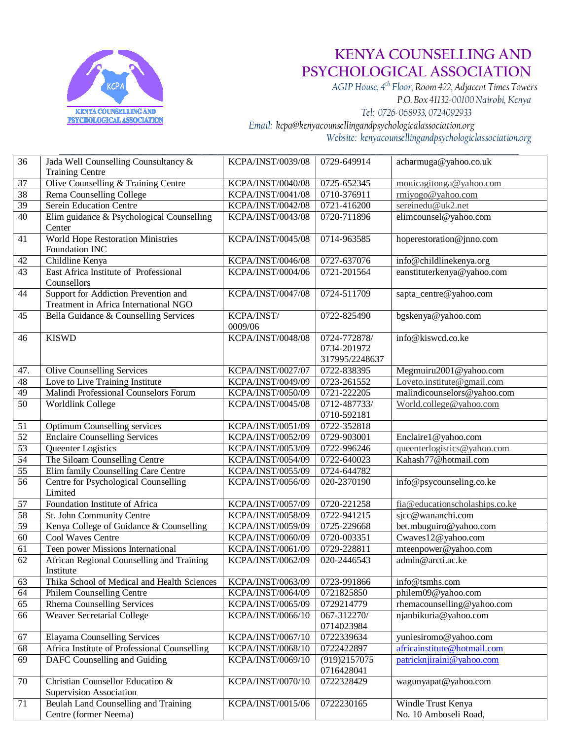

 *AGIP House, 4th Floor, Room 422, Adjacent Times Towers P.O. Box 41132-00100 Nairobi, Kenya Tel: 0726-068933, 0724092933 Email: kcpa@kenyacounsellingandpsychologicalassociation.org Website: kenyacounsellingandpsychologiclassociation.org*

| 36              | Jada Well Counselling Counsultancy &<br><b>Training Centre</b>                | KCPA/INST/0039/08        | 0729-649914                                   | acharmuga@yahoo.co.uk                       |
|-----------------|-------------------------------------------------------------------------------|--------------------------|-----------------------------------------------|---------------------------------------------|
| 37              | Olive Counselling & Training Centre                                           | KCPA/INST/0040/08        | 0725-652345                                   | monicagitonga@yahoo.com                     |
| 38              | Rema Counselling College                                                      | KCPA/INST/0041/08        | 0710-376911                                   | rmiyogo@yahoo.com                           |
| 39              | Serein Education Centre                                                       | KCPA/INST/0042/08        | 0721-416200                                   | sereinedu@uk2.net                           |
| 40              | Elim guidance & Psychological Counselling<br>Center                           | KCPA/INST/0043/08        | 0720-711896                                   | elimcounsel@yahoo.com                       |
| $\overline{41}$ | World Hope Restoration Ministries<br>Foundation INC                           | KCPA/INST/0045/08        | 0714-963585                                   | hoperestoration@jnno.com                    |
| 42              | Childline Kenya                                                               | KCPA/INST/0046/08        | 0727-637076                                   | info@childlinekenya.org                     |
| 43              | East Africa Institute of Professional<br>Counsellors                          | KCPA/INST/0004/06        | 0721-201564                                   | eanstituterkenya@yahoo.com                  |
| 44              | Support for Addiction Prevention and<br>Treatment in Africa International NGO | <b>KCPA/INST/0047/08</b> | 0724-511709                                   | sapta_centre@yahoo.com                      |
| 45              | Bella Guidance & Counselling Services                                         | KCPA/INST/<br>0009/06    | 0722-825490                                   | bgskenya@yahoo.com                          |
| 46              | <b>KISWD</b>                                                                  | KCPA/INST/0048/08        | 0724-772878/<br>0734-201972<br>317995/2248637 | info@kiswcd.co.ke                           |
| 47.             | <b>Olive Counselling Services</b>                                             | <b>KCPA/INST/0027/07</b> | 0722-838395                                   | Megmuiru2001@yahoo.com                      |
| 48              | Love to Live Training Institute                                               | KCPA/INST/0049/09        | 0723-261552                                   | Loveto.institute@gmail.com                  |
| 49              | Malindi Professional Counselors Forum                                         | KCPA/INST/0050/09        | 0721-222205                                   | malindicounselors@yahoo.com                 |
| $\overline{50}$ | Worldlink College                                                             | KCPA/INST/0045/08        | 0712-487733/<br>0710-592181                   | World.college@yahoo.com                     |
| 51              | Optimum Counselling services                                                  | KCPA/INST/0051/09        | 0722-352818                                   |                                             |
| 52              | <b>Enclaire Counselling Services</b>                                          | KCPA/INST/0052/09        | 0729-903001                                   | Enclaire1@yahoo.com                         |
| 53              | Queenter Logistics                                                            | KCPA/INST/0053/09        | 0722-996246                                   | queenterlogistics@yahoo.com                 |
| $\overline{54}$ | The Siloam Counselling Centre                                                 | KCPA/INST/0054/09        | 0722-640023                                   | Kahash77@hotmail.com                        |
| 55              | Elim family Counselling Care Centre                                           | KCPA/INST/0055/09        | 0724-644782                                   |                                             |
| $\overline{56}$ | Centre for Psychological Counselling<br>Limited                               | KCPA/INST/0056/09        | 020-2370190                                   | info@psycounseling.co.ke                    |
| 57              | Foundation Institute of Africa                                                | KCPA/INST/0057/09        | 0720-221258                                   | fia@educationscholaships.co.ke              |
| 58              | St. John Community Centre                                                     | KCPA/INST/0058/09        | 0722-941215                                   | sjcc@wananchi.com                           |
| 59              | Kenya College of Guidance & Counselling                                       | KCPA/INST/0059/09        | 0725-229668                                   | bet.mbuguiro@yahoo.com                      |
| $\overline{60}$ | Cool Waves Centre                                                             | KCPA/INST/0060/09        | 0720-003351                                   | Cwaves12@yahoo.com                          |
| 61              | Teen power Missions International                                             | KCPA/INST/0061/09        | 0729-228811                                   | mteenpower@yahoo.com                        |
| 62              | African Regional Counselling and Training<br>Institute                        | KCPA/INST/0062/09        | 020-2446543                                   | admin@arcti.ac.ke                           |
| 63              | Thika School of Medical and Health Sciences                                   | KCPA/INST/0063/09        | 0723-991866                                   | info@tsmhs.com                              |
| 64              | Philem Counselling Centre                                                     | KCPA/INST/0064/09        | 0721825850                                    | philem09@yahoo.com                          |
| $\overline{65}$ | <b>Rhema Counselling Services</b>                                             | KCPA/INST/0065/09        | 0729214779                                    | rhemacounselling@yahoo.com                  |
| 66              | <b>Weaver Secretarial College</b>                                             | KCPA/INST/0066/10        | 067-312270/<br>0714023984                     | njanbikuria@yahoo.com                       |
| 67              | <b>Elayama Counselling Services</b>                                           | KCPA/INST/0067/10        | 0722339634                                    | yuniesiromo@yahoo.com                       |
| 68              | Africa Institute of Professional Counselling                                  | KCPA/INST/0068/10        | 0722422897                                    | africainstitute@hotmail.com                 |
| 69              | DAFC Counselling and Guiding                                                  | KCPA/INST/0069/10        | (919)2157075<br>0716428041                    | patricknjiraini@yahoo.com                   |
| 70              | Christian Counsellor Education &<br>Supervision Association                   | KCPA/INST/0070/10        | 0722328429                                    | wagunyapat@yahoo.com                        |
| 71              | Beulah Land Counselling and Training<br>Centre (former Neema)                 | KCPA/INST/0015/06        | 0722230165                                    | Windle Trust Kenya<br>No. 10 Amboseli Road, |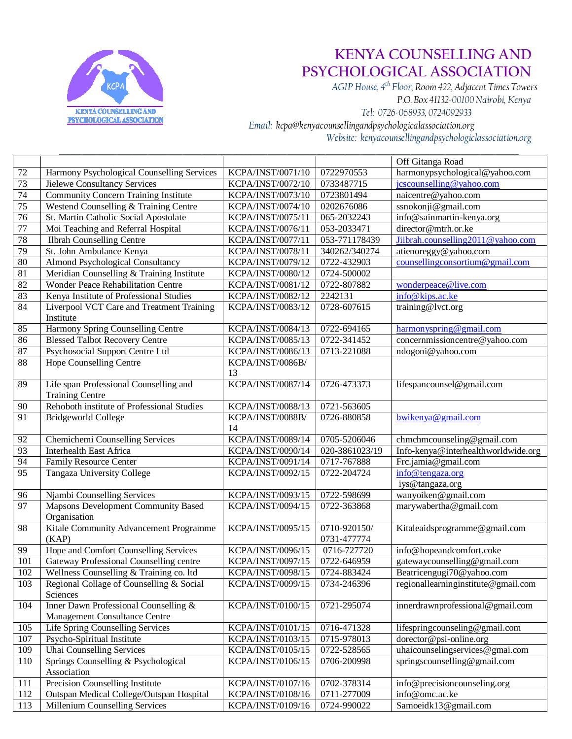

 *AGIP House, 4th Floor, Room 422, Adjacent Times Towers P.O. Box 41132-00100 Nairobi, Kenya Tel: 0726-068933, 0724092933 Email: kcpa@kenyacounsellingandpsychologicalassociation.org Website: kenyacounsellingandpsychologiclassociation.org*

|                 |                                                                            |                                        |                            | Off Gitanga Road                                    |
|-----------------|----------------------------------------------------------------------------|----------------------------------------|----------------------------|-----------------------------------------------------|
| $72\,$          | Harmony Psychological Counselling Services                                 | KCPA/INST/0071/10                      | 0722970553                 | harmonypsychological@yahoo.com                      |
| 73              | Jielewe Consultancy Services                                               | KCPA/INST/0072/10                      | 0733487715                 | jcscounselling@yahoo.com                            |
| 74              | <b>Community Concern Training Institute</b>                                | KCPA/INST/0073/10                      | 0723801494                 | naicentre@yahoo.com                                 |
| $\overline{75}$ | Westend Counselling & Training Centre                                      | KCPA/INST/0074/10                      | 0202676086                 | ssnokonji@gmail.com                                 |
| 76              | St. Martin Catholic Social Apostolate                                      | KCPA/INST/0075/11                      | 065-2032243                | info@sainmartin-kenya.org                           |
| $\overline{77}$ | Moi Teaching and Referral Hospital                                         | KCPA/INST/0076/11                      | 053-2033471                | director@mtrh.or.ke                                 |
| 78              | <b>Ilbrah Counselling Centre</b>                                           | KCPA/INST/0077/11                      | 053-771178439              | Jiibrah.counselling2011@yahoo.com                   |
| 79              | St. John Ambulance Kenya                                                   | KCPA/INST/0078/11                      | 340262/340274              | atienoreggy@yahoo.com                               |
| 80              | <b>Almond Psychological Consultancy</b>                                    | KCPA/INST/0079/12                      | 0722-432903                | counsellingconsortium@gmail.com                     |
| 81              | Meridian Counselling & Training Institute                                  | KCPA/INST/0080/12                      | 0724-500002                |                                                     |
| 82              | Wonder Peace Rehabilitation Centre                                         | KCPA/INST/0081/12                      | 0722-807882                | wonderpeace@live.com                                |
| 83              | Kenya Institute of Professional Studies                                    | KCPA/INST/0082/12                      | 2242131                    | info@kips.ac.ke                                     |
| 84              | Liverpool VCT Care and Treatment Training                                  | KCPA/INST/0083/12                      | 0728-607615                | training@lvct.org                                   |
|                 | Institute                                                                  |                                        |                            |                                                     |
| 85              | Harmony Spring Counselling Centre                                          | KCPA/INST/0084/13                      | 0722-694165                | harmonyspring@gmail.com                             |
| 86              | <b>Blessed Talbot Recovery Centre</b>                                      | KCPA/INST/0085/13                      | 0722-341452                | concernmissioncentre@yahoo.com                      |
| 87              | Psychosocial Support Centre Ltd                                            | KCPA/INST/0086/13                      | 0713-221088                | ndogoni@yahoo.com                                   |
| 88              | Hope Counselling Centre                                                    | KCPA/INST/0086B/                       |                            |                                                     |
|                 |                                                                            | 13                                     |                            |                                                     |
| 89              | Life span Professional Counselling and                                     | KCPA/INST/0087/14                      | 0726-473373                | lifespancounsel@gmail.com                           |
|                 | <b>Training Centre</b>                                                     |                                        |                            |                                                     |
| 90              | Rehoboth institute of Professional Studies                                 | KCPA/INST/0088/13                      | 0721-563605                |                                                     |
| $\overline{91}$ | <b>Bridgeworld College</b>                                                 | KCPA/INST/0088B/                       | 0726-880858                | bwikenya@gmail.com                                  |
|                 |                                                                            | 14                                     |                            |                                                     |
| 92              | Chemichemi Counselling Services                                            | KCPA/INST/0089/14                      | 0705-5206046               | chmchmcounseling@gmail.com                          |
| 93              | <b>Interhealth East Africa</b>                                             | KCPA/INST/0090/14                      | 020-3861023/19             | Info-kenya@interhealthworldwide.org                 |
| 94              | <b>Family Resource Center</b>                                              | KCPA/INST/0091/14                      | 0717-767888                | Frc.jamia@gmail.com                                 |
| $\overline{95}$ | Tangaza University College                                                 | KCPA/INST/0092/15                      | 0722-204724                | info@tengaza.org                                    |
|                 |                                                                            |                                        |                            | iys@tangaza.org                                     |
| 96              | Njambi Counselling Services                                                | KCPA/INST/0093/15                      | 0722-598699                | wanyoiken@gmail.com                                 |
| 97              | <b>Mapsons Development Community Based</b>                                 | KCPA/INST/0094/15                      | 0722-363868                | marywabertha@gmail.com                              |
|                 | Organisation                                                               |                                        |                            |                                                     |
| 98              | Kitale Community Advancement Programme                                     | KCPA/INST/0095/15                      | 0710-920150/               | Kitaleaidsprogramme@gmail.com                       |
|                 | (KAP)                                                                      |                                        | 0731-477774                |                                                     |
| 99              | Hope and Comfort Counselling Services                                      | KCPA/INST/0096/15                      | 0716-727720                | info@hopeandcomfort.coke                            |
| 101             | Gateway Professional Counselling centre                                    | KCPA/INST/0097/15                      | 0722-646959                | gatewaycounselling@gmail.com                        |
| 102             | Wellness Counselling & Training co. ltd                                    | KCPA/INST/0098/15                      | 0724-883424                | Beatricengugi70@yahoo.com                           |
| 103             | Regional Collage of Counselling & Social                                   | KCPA/INST/0099/15                      | 0734-246396                | regionallearninginstitute@gmail.com                 |
|                 | Sciences                                                                   |                                        |                            |                                                     |
| 104             | Inner Dawn Professional Counselling &                                      | KCPA/INST/0100/15                      | 0721-295074                | innerdrawnprofessional@gmail.com                    |
|                 | <b>Management Consultance Centre</b>                                       |                                        |                            |                                                     |
| 105             | Life Spring Counselling Services                                           | KCPA/INST/0101/15                      | 0716-471328                | lifespringcounseling@gmail.com                      |
| 107             | Psycho-Spiritual Institute                                                 | KCPA/INST/0103/15                      | 0715-978013                | $\text{dorector}\,\textcircled{e}\,\text{psi-only}$ |
| 109             | <b>Uhai Counselling Services</b>                                           | KCPA/INST/0105/15                      | 0722-528565                | uhaicounselingservices@gmai.com                     |
| 110             | Springs Counselling & Psychological                                        | KCPA/INST/0106/15                      | 0706-200998                | springscounselling@gmail.com                        |
|                 | Association                                                                |                                        |                            |                                                     |
| 111             | Precision Counselling Institute                                            | KCPA/INST/0107/16                      | 0702-378314                | info@precisioncounseling.org                        |
|                 |                                                                            |                                        |                            |                                                     |
| 112<br>113      | Outspan Medical College/Outspan Hospital<br>Millenium Counselling Services | KCPA/INST/0108/16<br>KCPA/INST/0109/16 | 0711-277009<br>0724-990022 | info@omc.ac.ke<br>Samoeidk13@gmail.com              |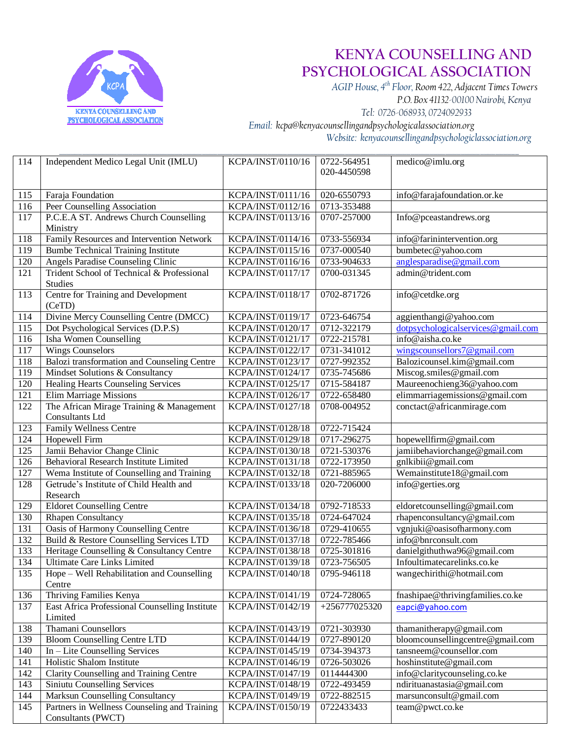

 *AGIP House, 4th Floor, Room 422, Adjacent Times Towers P.O. Box 41132-00100 Nairobi, Kenya Tel: 0726-068933, 0724092933*

*Email: kcpa@kenyacounsellingandpsychologicalassociation.org*

*Website: kenyacounsellingandpsychologiclassociation.org* \_\_\_\_\_\_\_\_\_\_\_\_\_\_\_\_\_\_\_\_\_\_\_\_\_\_\_\_\_\_\_\_\_\_\_\_\_\_\_\_\_\_\_\_\_\_\_\_\_\_\_\_\_\_\_\_\_\_\_\_\_\_\_\_\_\_\_\_\_\_\_\_\_\_\_\_\_\_\_\_\_\_\_\_\_\_\_\_\_\_\_\_\_\_\_\_\_\_\_\_\_\_\_\_\_\_\_\_\_\_\_\_\_\_\_\_\_\_\_

| 114 | Independent Medico Legal Unit (IMLU)                               | KCPA/INST/0110/16 | 0722-564951<br>020-4450598 | medico@imlu.org                    |
|-----|--------------------------------------------------------------------|-------------------|----------------------------|------------------------------------|
| 115 | Faraja Foundation                                                  | KCPA/INST/0111/16 | 020-6550793                | info@farajafoundation.or.ke        |
| 116 | Peer Counselling Association                                       | KCPA/INST/0112/16 | 0713-353488                |                                    |
| 117 | P.C.E.A ST. Andrews Church Counselling<br>Ministry                 | KCPA/INST/0113/16 | 0707-257000                | Info@pceastandrews.org             |
| 118 | Family Resources and Intervention Network                          | KCPA/INST/0114/16 | 0733-556934                | info@farinintervention.org         |
| 119 | <b>Bumbe Technical Training Institute</b>                          | KCPA/INST/0115/16 | 0737-000540                | bumbetec@yahoo.com                 |
| 120 | Angels Paradise Counseling Clinic                                  | KCPA/INST/0116/16 | 0733-904633                | anglesparadise@gmail.com           |
| 121 | Trident School of Technical & Professional<br><b>Studies</b>       | KCPA/INST/0117/17 | 0700-031345                | admin@trident.com                  |
| 113 | Centre for Training and Development<br>(CeTD)                      | KCPA/INST/0118/17 | 0702-871726                | info@cetdke.org                    |
| 114 | Divine Mercy Counselling Centre (DMCC)                             | KCPA/INST/0119/17 | 0723-646754                | aggienthangi@yahoo.com             |
| 115 | Dot Psychological Services (D.P.S)                                 | KCPA/INST/0120/17 | 0712-322179                | dotpsychologicalservices@gmail.com |
| 116 | Isha Women Counselling                                             | KCPA/INST/0121/17 | 0722-215781                | info@aisha.co.ke                   |
| 117 | <b>Wings Counselors</b>                                            | KCPA/INST/0122/17 | 0731-341012                | wingscounsellors7@gmail.com        |
| 118 | Balozi transformation and Counseling Centre                        | KCPA/INST/0123/17 | 0727-992352                | Balozicounsel.kim@gmail.com        |
| 119 | Mindset Solutions & Consultancy                                    | KCPA/INST/0124/17 | 0735-745686                | Miscog.smiles@gmail.com            |
| 120 | <b>Healing Hearts Counseling Services</b>                          | KCPA/INST/0125/17 | 0715-584187                | Maureenochieng36@yahoo.com         |
| 121 | <b>Elim Marriage Missions</b>                                      | KCPA/INST/0126/17 | 0722-658480                | elimmarriagemissions@gmail.com     |
| 122 | The African Mirage Training & Management<br><b>Consultants Ltd</b> | KCPA/INST/0127/18 | 0708-004952                | conctact@africanmirage.com         |
| 123 | Family Wellness Centre                                             | KCPA/INST/0128/18 | 0722-715424                |                                    |
| 124 | Hopewell Firm                                                      | KCPA/INST/0129/18 | 0717-296275                | hopewellfirm@gmail.com             |
| 125 | Jamii Behavior Change Clinic                                       | KCPA/INST/0130/18 | 0721-530376                | jamiibehaviorchange@gmail.com      |
| 126 | Behavioral Research Institute Limited                              | KCPA/INST/0131/18 | 0722-173950                | gnlkibii@gmail.com                 |
| 127 | Wema Institute of Counselling and Training                         | KCPA/INST/0132/18 | 0721-885965                | Wemainstitute18@gmail.com          |
| 128 | Getrude's Institute of Child Health and<br>Research                | KCPA/INST/0133/18 | 020-7206000                | info@gerties.org                   |
| 129 | <b>Eldoret Counselling Centre</b>                                  | KCPA/INST/0134/18 | 0792-718533                | eldoretcounselling@gmail.com       |
| 130 | Rhapen Consultancy                                                 | KCPA/INST/0135/18 | 0724-647024                | rhapenconsultancy@gmail.com        |
| 131 | Oasis of Harmony Counselling Centre                                | KCPA/INST/0136/18 | 0729-410655                | vgnjuki@oasisofharmony.com         |
| 132 | Build & Restore Counselling Services LTD                           | KCPA/INST/0137/18 | 0722-785466                | info@bnrconsult.com                |
| 133 | Heritage Counselling & Consultancy Centre                          | KCPA/INST/0138/18 | 0725-301816                | danielgithuthwa96@gmail.com        |
| 134 | <b>Ultimate Care Links Limited</b>                                 | KCPA/INST/0139/18 | 0723-756505                | Infoultimatecarelinks.co.ke        |
| 135 | Hope - Well Rehabilitation and Counselling<br>Centre               | KCPA/INST/0140/18 | 0795-946118                | wangechirithi@hotmail.com          |
| 136 | Thriving Families Kenya                                            | KCPA/INST/0141/19 | 0724-728065                | fnashipae@thrivingfamilies.co.ke   |
| 137 | East Africa Professional Counselling Institute<br>Limited          | KCPA/INST/0142/19 | $+256777025320$            | eapci@yahoo.com                    |
| 138 | Thamani Counsellors                                                | KCPA/INST/0143/19 | 0721-303930                | thamanitherapy@gmail.com           |
| 139 | <b>Bloom Counselling Centre LTD</b>                                | KCPA/INST/0144/19 | 0727-890120                | bloomcounsellingcentre@gmail.com   |
| 140 | In - Lite Counselling Services                                     | KCPA/INST/0145/19 | 0734-394373                | tansneem@counsellor.com            |
| 141 | Holistic Shalom Institute                                          | KCPA/INST/0146/19 | 0726-503026                | hoshinstitute@gmail.com            |
| 142 | <b>Clarity Counselling and Training Centre</b>                     | KCPA/INST/0147/19 | 0114444300                 | info@claritycounseling.co.ke       |
| 143 | Siniutu Counselling Services                                       | KCPA/INST/0148/19 | 0722-493459                | ndirituanastasia@gmail.com         |
| 144 | Marksun Counselling Consultancy                                    | KCPA/INST/0149/19 | 0722-882515                | marsunconsult@gmail.com            |
| 145 | Partners in Wellness Counseling and Training<br>Consultants (PWCT) | KCPA/INST/0150/19 | 0722433433                 | team@pwct.co.ke                    |